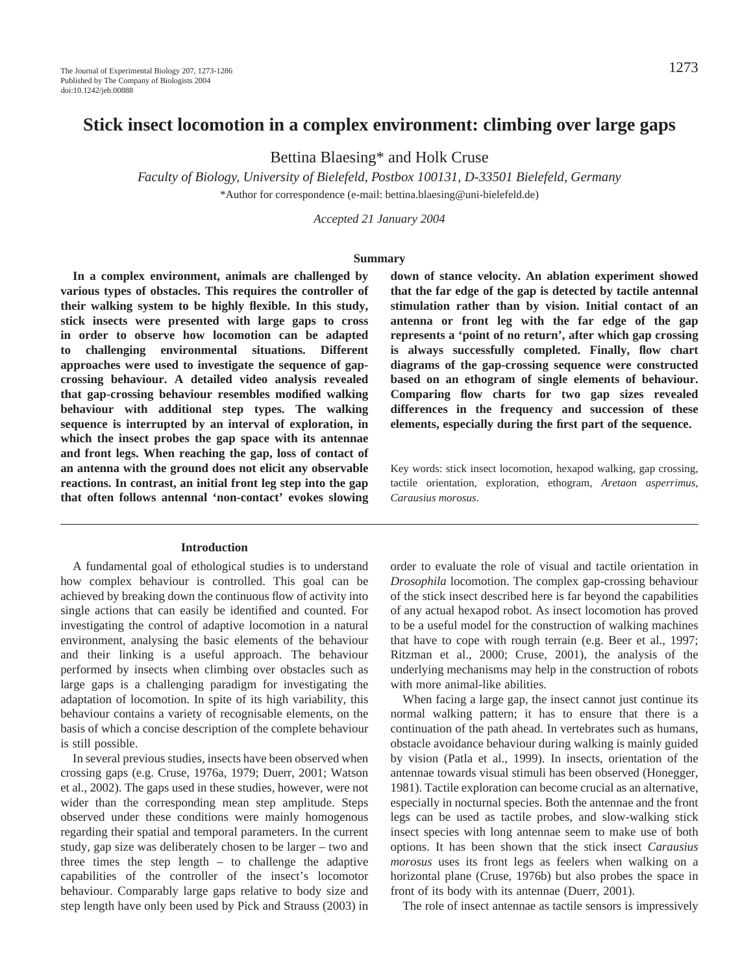Bettina Blaesing\* and Holk Cruse

*Faculty of Biology, University of Bielefeld, Postbox 100131, D-33501 Bielefeld, Germany* \*Author for correspondence (e-mail: bettina.blaesing@uni-bielefeld.de)

*Accepted 21 January 2004*

#### **Summary**

**In a complex environment, animals are challenged by various types of obstacles. This requires the controller of their walking system to be highly flexible. In this study, stick insects were presented with large gaps to cross in order to observe how locomotion can be adapted to challenging environmental situations. Different approaches were used to investigate the sequence of gapcrossing behaviour. A detailed video analysis revealed that gap-crossing behaviour resembles modified walking behaviour with additional step types. The walking sequence is interrupted by an interval of exploration, in which the insect probes the gap space with its antennae and front legs. When reaching the gap, loss of contact of an antenna with the ground does not elicit any observable reactions. In contrast, an initial front leg step into the gap that often follows antennal 'non-contact' evokes slowing**

### **Introduction**

A fundamental goal of ethological studies is to understand how complex behaviour is controlled. This goal can be achieved by breaking down the continuous flow of activity into single actions that can easily be identified and counted. For investigating the control of adaptive locomotion in a natural environment, analysing the basic elements of the behaviour and their linking is a useful approach. The behaviour performed by insects when climbing over obstacles such as large gaps is a challenging paradigm for investigating the adaptation of locomotion. In spite of its high variability, this behaviour contains a variety of recognisable elements, on the basis of which a concise description of the complete behaviour is still possible.

In several previous studies, insects have been observed when crossing gaps (e.g. Cruse, 1976a, 1979; Duerr, 2001; Watson et al., 2002). The gaps used in these studies, however, were not wider than the corresponding mean step amplitude. Steps observed under these conditions were mainly homogenous regarding their spatial and temporal parameters. In the current study, gap size was deliberately chosen to be larger – two and three times the step length – to challenge the adaptive capabilities of the controller of the insect's locomotor behaviour. Comparably large gaps relative to body size and step length have only been used by Pick and Strauss (2003) in **down of stance velocity. An ablation experiment showed that the far edge of the gap is detected by tactile antennal stimulation rather than by vision. Initial contact of an antenna or front leg with the far edge of the gap represents a 'point of no return', after which gap crossing is always successfully completed. Finally, flow chart diagrams of the gap-crossing sequence were constructed based on an ethogram of single elements of behaviour. Comparing flow charts for two gap sizes revealed differences in the frequency and succession of these elements, especially during the first part of the sequence.**

Key words: stick insect locomotion, hexapod walking, gap crossing, tactile orientation, exploration, ethogram, *Aretaon asperrimus*, *Carausius morosus*.

order to evaluate the role of visual and tactile orientation in *Drosophila* locomotion. The complex gap-crossing behaviour of the stick insect described here is far beyond the capabilities of any actual hexapod robot. As insect locomotion has proved to be a useful model for the construction of walking machines that have to cope with rough terrain (e.g. Beer et al., 1997; Ritzman et al., 2000; Cruse, 2001), the analysis of the underlying mechanisms may help in the construction of robots with more animal-like abilities.

When facing a large gap, the insect cannot just continue its normal walking pattern; it has to ensure that there is a continuation of the path ahead. In vertebrates such as humans, obstacle avoidance behaviour during walking is mainly guided by vision (Patla et al., 1999). In insects, orientation of the antennae towards visual stimuli has been observed (Honegger, 1981). Tactile exploration can become crucial as an alternative, especially in nocturnal species. Both the antennae and the front legs can be used as tactile probes, and slow-walking stick insect species with long antennae seem to make use of both options. It has been shown that the stick insect *Carausius morosus* uses its front legs as feelers when walking on a horizontal plane (Cruse, 1976b) but also probes the space in front of its body with its antennae (Duerr, 2001).

The role of insect antennae as tactile sensors is impressively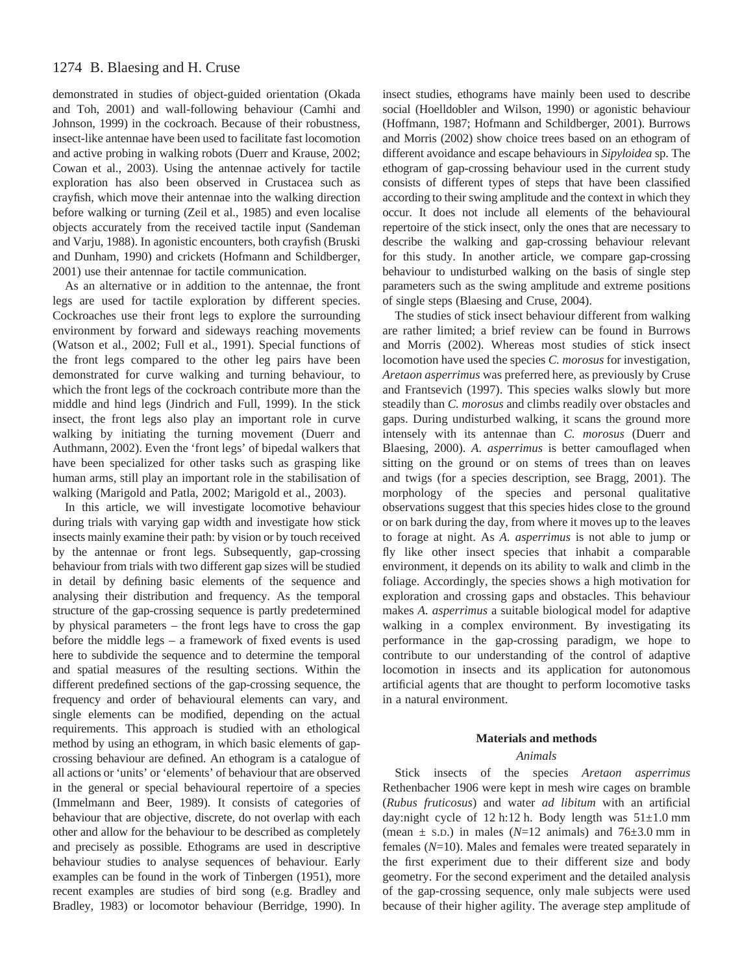demonstrated in studies of object-guided orientation (Okada and Toh, 2001) and wall-following behaviour (Camhi and Johnson, 1999) in the cockroach. Because of their robustness, insect-like antennae have been used to facilitate fast locomotion and active probing in walking robots (Duerr and Krause, 2002; Cowan et al., 2003). Using the antennae actively for tactile exploration has also been observed in Crustacea such as crayfish, which move their antennae into the walking direction before walking or turning (Zeil et al., 1985) and even localise objects accurately from the received tactile input (Sandeman and Varju, 1988). In agonistic encounters, both crayfish (Bruski and Dunham, 1990) and crickets (Hofmann and Schildberger, 2001) use their antennae for tactile communication.

As an alternative or in addition to the antennae, the front legs are used for tactile exploration by different species. Cockroaches use their front legs to explore the surrounding environment by forward and sideways reaching movements (Watson et al., 2002; Full et al., 1991). Special functions of the front legs compared to the other leg pairs have been demonstrated for curve walking and turning behaviour, to which the front legs of the cockroach contribute more than the middle and hind legs (Jindrich and Full, 1999). In the stick insect, the front legs also play an important role in curve walking by initiating the turning movement (Duerr and Authmann, 2002). Even the 'front legs' of bipedal walkers that have been specialized for other tasks such as grasping like human arms, still play an important role in the stabilisation of walking (Marigold and Patla, 2002; Marigold et al., 2003).

In this article, we will investigate locomotive behaviour during trials with varying gap width and investigate how stick insects mainly examine their path: by vision or by touch received by the antennae or front legs. Subsequently, gap-crossing behaviour from trials with two different gap sizes will be studied in detail by defining basic elements of the sequence and analysing their distribution and frequency. As the temporal structure of the gap-crossing sequence is partly predetermined by physical parameters – the front legs have to cross the gap before the middle legs – a framework of fixed events is used here to subdivide the sequence and to determine the temporal and spatial measures of the resulting sections. Within the different predefined sections of the gap-crossing sequence, the frequency and order of behavioural elements can vary, and single elements can be modified, depending on the actual requirements. This approach is studied with an ethological method by using an ethogram, in which basic elements of gapcrossing behaviour are defined. An ethogram is a catalogue of all actions or 'units' or 'elements' of behaviour that are observed in the general or special behavioural repertoire of a species (Immelmann and Beer, 1989). It consists of categories of behaviour that are objective, discrete, do not overlap with each other and allow for the behaviour to be described as completely and precisely as possible. Ethograms are used in descriptive behaviour studies to analyse sequences of behaviour. Early examples can be found in the work of Tinbergen (1951), more recent examples are studies of bird song (e.g. Bradley and Bradley, 1983) or locomotor behaviour (Berridge, 1990). In insect studies, ethograms have mainly been used to describe social (Hoelldobler and Wilson, 1990) or agonistic behaviour (Hoffmann, 1987; Hofmann and Schildberger, 2001). Burrows and Morris (2002) show choice trees based on an ethogram of different avoidance and escape behaviours in *Sipyloidea* sp. The ethogram of gap-crossing behaviour used in the current study consists of different types of steps that have been classified according to their swing amplitude and the context in which they occur. It does not include all elements of the behavioural repertoire of the stick insect, only the ones that are necessary to describe the walking and gap-crossing behaviour relevant for this study. In another article, we compare gap-crossing behaviour to undisturbed walking on the basis of single step parameters such as the swing amplitude and extreme positions of single steps (Blaesing and Cruse, 2004).

The studies of stick insect behaviour different from walking are rather limited; a brief review can be found in Burrows and Morris (2002). Whereas most studies of stick insect locomotion have used the species *C. morosus* for investigation, *Aretaon asperrimus* was preferred here, as previously by Cruse and Frantsevich (1997). This species walks slowly but more steadily than *C. morosus* and climbs readily over obstacles and gaps. During undisturbed walking, it scans the ground more intensely with its antennae than *C. morosus* (Duerr and Blaesing, 2000). *A. asperrimus* is better camouflaged when sitting on the ground or on stems of trees than on leaves and twigs (for a species description, see Bragg, 2001). The morphology of the species and personal qualitative observations suggest that this species hides close to the ground or on bark during the day, from where it moves up to the leaves to forage at night. As *A. asperrimus* is not able to jump or fly like other insect species that inhabit a comparable environment, it depends on its ability to walk and climb in the foliage. Accordingly, the species shows a high motivation for exploration and crossing gaps and obstacles. This behaviour makes *A. asperrimus* a suitable biological model for adaptive walking in a complex environment. By investigating its performance in the gap-crossing paradigm, we hope to contribute to our understanding of the control of adaptive locomotion in insects and its application for autonomous artificial agents that are thought to perform locomotive tasks in a natural environment.

### **Materials and methods**

### *Animals*

Stick insects of the species *Aretaon asperrimus* Rethenbacher 1906 were kept in mesh wire cages on bramble (*Rubus fruticosus*) and water *ad libitum* with an artificial day:night cycle of 12 h:12 h. Body length was  $51±1.0$  mm (mean  $\pm$  s.D.) in males ( $N=12$  animals) and  $76\pm3.0$  mm in females (*N*=10). Males and females were treated separately in the first experiment due to their different size and body geometry. For the second experiment and the detailed analysis of the gap-crossing sequence, only male subjects were used because of their higher agility. The average step amplitude of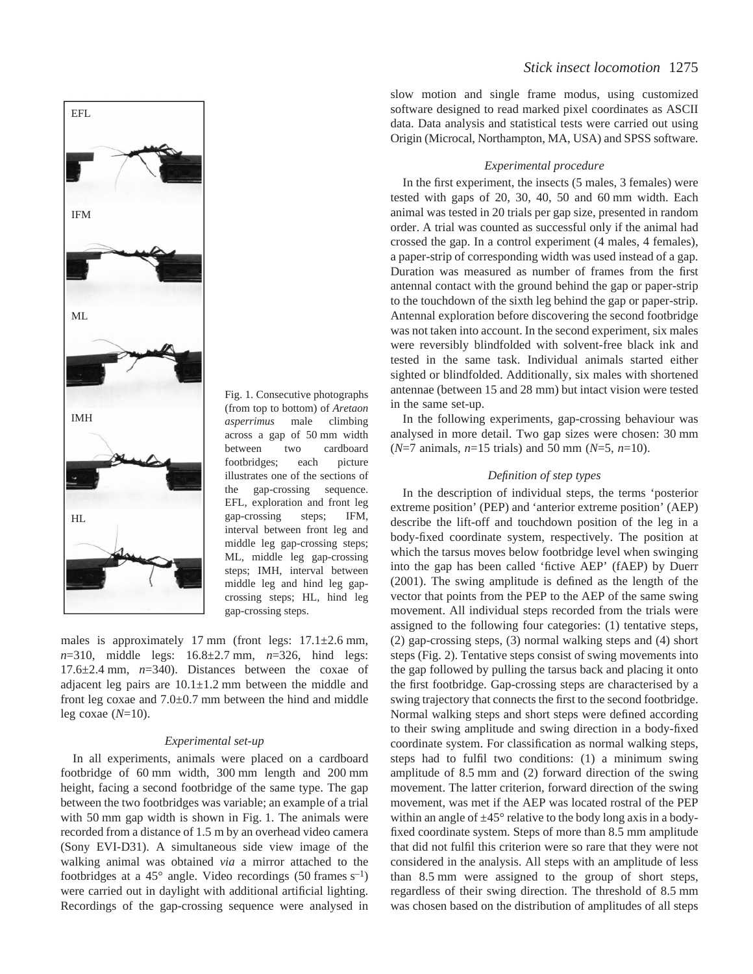

Fig. 1. Consecutive photographs (from top to bottom) of *Aretaon asperrimus* male climbing across a gap of 50 mm width between two cardboard footbridges; each picture illustrates one of the sections of the gap-crossing sequence. EFL, exploration and front leg gap-crossing steps; IFM, interval between front leg and middle leg gap-crossing steps; ML, middle leg gap-crossing steps; IMH, interval between middle leg and hind leg gapcrossing steps; HL, hind leg gap-crossing steps.

males is approximately 17 mm (front legs:  $17.1 \pm 2.6$  mm, *n*=310, middle legs: 16.8±2.7 mm, *n*=326, hind legs: 17.6 $\pm$ 2.4 mm,  $n=340$ ). Distances between the coxae of adjacent leg pairs are  $10.1 \pm 1.2$  mm between the middle and front leg coxae and  $7.0\pm0.7$  mm between the hind and middle leg coxae (*N*=10).

#### *Experimental set-up*

In all experiments, animals were placed on a cardboard footbridge of 60 mm width, 300 mm length and 200 mm height, facing a second footbridge of the same type. The gap between the two footbridges was variable; an example of a trial with 50 mm gap width is shown in Fig. 1. The animals were recorded from a distance of 1.5 m by an overhead video camera (Sony EVI-D31). A simultaneous side view image of the walking animal was obtained *via* a mirror attached to the footbridges at a 45 $^{\circ}$  angle. Video recordings (50 frames s<sup>-1</sup>) were carried out in daylight with additional artificial lighting. Recordings of the gap-crossing sequence were analysed in

## *Stick insect locomotion* 1275

slow motion and single frame modus, using customized software designed to read marked pixel coordinates as ASCII data. Data analysis and statistical tests were carried out using Origin (Microcal, Northampton, MA, USA) and SPSS software.

### *Experimental procedure*

In the first experiment, the insects (5 males, 3 females) were tested with gaps of  $20$ ,  $30$ ,  $40$ ,  $50$  and  $60$  mm width. Each animal was tested in 20 trials per gap size, presented in random order. A trial was counted as successful only if the animal had crossed the gap. In a control experiment (4 males, 4 females), a paper-strip of corresponding width was used instead of a gap. Duration was measured as number of frames from the first antennal contact with the ground behind the gap or paper-strip to the touchdown of the sixth leg behind the gap or paper-strip. Antennal exploration before discovering the second footbridge was not taken into account. In the second experiment, six males were reversibly blindfolded with solvent-free black ink and tested in the same task. Individual animals started either sighted or blindfolded. Additionally, six males with shortened antennae (between 15 and 28 mm) but intact vision were tested in the same set-up.

In the following experiments, gap-crossing behaviour was analysed in more detail. Two gap sizes were chosen: 30 mm  $(N=7 \text{ animals}, n=15 \text{ trials})$  and 50 mm  $(N=5, n=10)$ .

### *Definition of step types*

In the description of individual steps, the terms 'posterior extreme position' (PEP) and 'anterior extreme position' (AEP) describe the lift-off and touchdown position of the leg in a body-fixed coordinate system, respectively. The position at which the tarsus moves below footbridge level when swinging into the gap has been called 'fictive AEP' (fAEP) by Duerr (2001). The swing amplitude is defined as the length of the vector that points from the PEP to the AEP of the same swing movement. All individual steps recorded from the trials were assigned to the following four categories: (1) tentative steps, (2) gap-crossing steps, (3) normal walking steps and (4) short steps (Fig. 2). Tentative steps consist of swing movements into the gap followed by pulling the tarsus back and placing it onto the first footbridge. Gap-crossing steps are characterised by a swing trajectory that connects the first to the second footbridge. Normal walking steps and short steps were defined according to their swing amplitude and swing direction in a body-fixed coordinate system. For classification as normal walking steps, steps had to fulfil two conditions: (1) a minimum swing amplitude of  $8.5 \text{ mm}$  and  $(2)$  forward direction of the swing movement. The latter criterion, forward direction of the swing movement, was met if the AEP was located rostral of the PEP within an angle of  $\pm 45^\circ$  relative to the body long axis in a bodyfixed coordinate system. Steps of more than 8.5 mm amplitude that did not fulfil this criterion were so rare that they were not considered in the analysis. All steps with an amplitude of less than 8.5 mm were assigned to the group of short steps, regardless of their swing direction. The threshold of 8.5 mm was chosen based on the distribution of amplitudes of all steps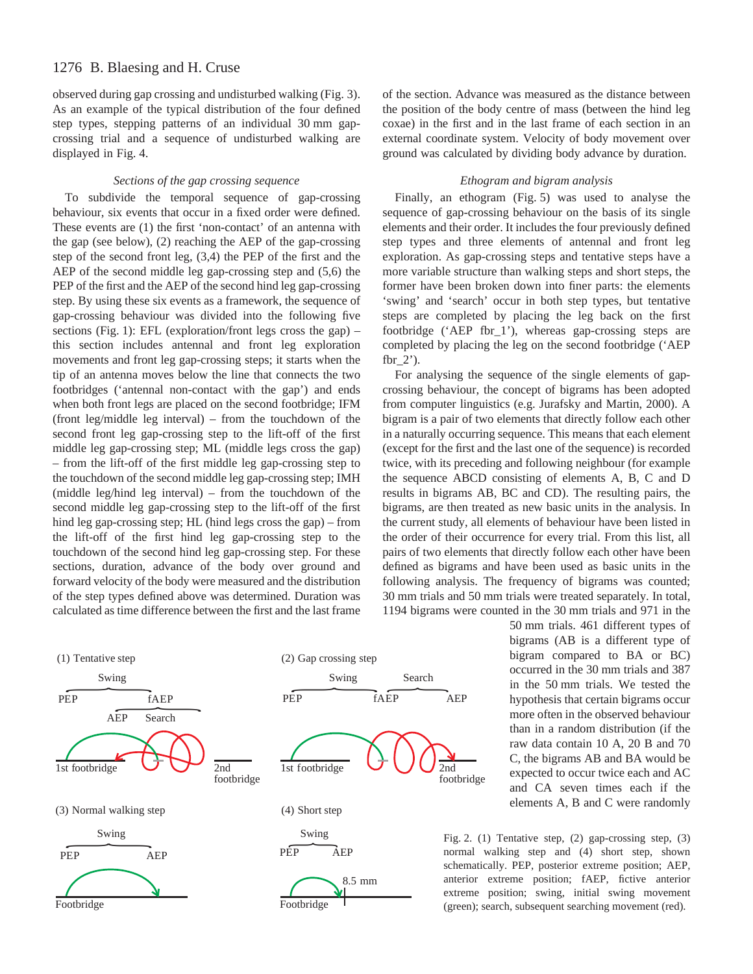observed during gap crossing and undisturbed walking (Fig.·3). As an example of the typical distribution of the four defined step types, stepping patterns of an individual 30 mm gapcrossing trial and a sequence of undisturbed walking are displayed in Fig. 4.

#### *Sections of the gap crossing sequence*

To subdivide the temporal sequence of gap-crossing behaviour, six events that occur in a fixed order were defined. These events are (1) the first 'non-contact' of an antenna with the gap (see below), (2) reaching the AEP of the gap-crossing step of the second front leg, (3,4) the PEP of the first and the AEP of the second middle leg gap-crossing step and (5,6) the PEP of the first and the AEP of the second hind leg gap-crossing step. By using these six events as a framework, the sequence of gap-crossing behaviour was divided into the following five sections (Fig. 1): EFL (exploration/front legs cross the gap) – this section includes antennal and front leg exploration movements and front leg gap-crossing steps; it starts when the tip of an antenna moves below the line that connects the two footbridges ('antennal non-contact with the gap') and ends when both front legs are placed on the second footbridge; IFM (front leg/middle leg interval) – from the touchdown of the second front leg gap-crossing step to the lift-off of the first middle leg gap-crossing step; ML (middle legs cross the gap) – from the lift-off of the first middle leg gap-crossing step to the touchdown of the second middle leg gap-crossing step; IMH (middle leg/hind leg interval) – from the touchdown of the second middle leg gap-crossing step to the lift-off of the first hind leg gap-crossing step; HL (hind legs cross the gap) – from the lift-off of the first hind leg gap-crossing step to the touchdown of the second hind leg gap-crossing step. For these sections, duration, advance of the body over ground and forward velocity of the body were measured and the distribution of the step types defined above was determined. Duration was calculated as time difference between the first and the last frame



of the section. Advance was measured as the distance between the position of the body centre of mass (between the hind leg coxae) in the first and in the last frame of each section in an external coordinate system. Velocity of body movement over ground was calculated by dividing body advance by duration.

#### *Ethogram and bigram analysis*

Finally, an ethogram (Fig. 5) was used to analyse the sequence of gap-crossing behaviour on the basis of its single elements and their order. It includes the four previously defined step types and three elements of antennal and front leg exploration. As gap-crossing steps and tentative steps have a more variable structure than walking steps and short steps, the former have been broken down into finer parts: the elements 'swing' and 'search' occur in both step types, but tentative steps are completed by placing the leg back on the first footbridge ('AEP fbr\_1'), whereas gap-crossing steps are completed by placing the leg on the second footbridge ('AEP fbr $_2$ ').

For analysing the sequence of the single elements of gapcrossing behaviour, the concept of bigrams has been adopted from computer linguistics (e.g. Jurafsky and Martin, 2000). A bigram is a pair of two elements that directly follow each other in a naturally occurring sequence. This means that each element (except for the first and the last one of the sequence) is recorded twice, with its preceding and following neighbour (for example the sequence ABCD consisting of elements A, B, C and D results in bigrams AB, BC and CD). The resulting pairs, the bigrams, are then treated as new basic units in the analysis. In the current study, all elements of behaviour have been listed in the order of their occurrence for every trial. From this list, all pairs of two elements that directly follow each other have been defined as bigrams and have been used as basic units in the following analysis. The frequency of bigrams was counted; 30 mm trials and 50 mm trials were treated separately. In total, 1194 bigrams were counted in the 30 mm trials and 971 in the

> 50 mm trials. 461 different types of bigrams (AB is a different type of bigram compared to BA or BC) occurred in the 30 mm trials and 387 in the 50 mm trials. We tested the hypothesis that certain bigrams occur more often in the observed behaviour than in a random distribution (if the raw data contain 10 A, 20 B and 70 C, the bigrams AB and BA would be expected to occur twice each and AC and CA seven times each if the elements A, B and C were randomly

Fig. 2. (1) Tentative step,  $(2)$  gap-crossing step,  $(3)$ normal walking step and (4) short step, shown schematically. PEP, posterior extreme position; AEP, anterior extreme position; fAEP, fictive anterior extreme position; swing, initial swing movement (green); search, subsequent searching movement (red).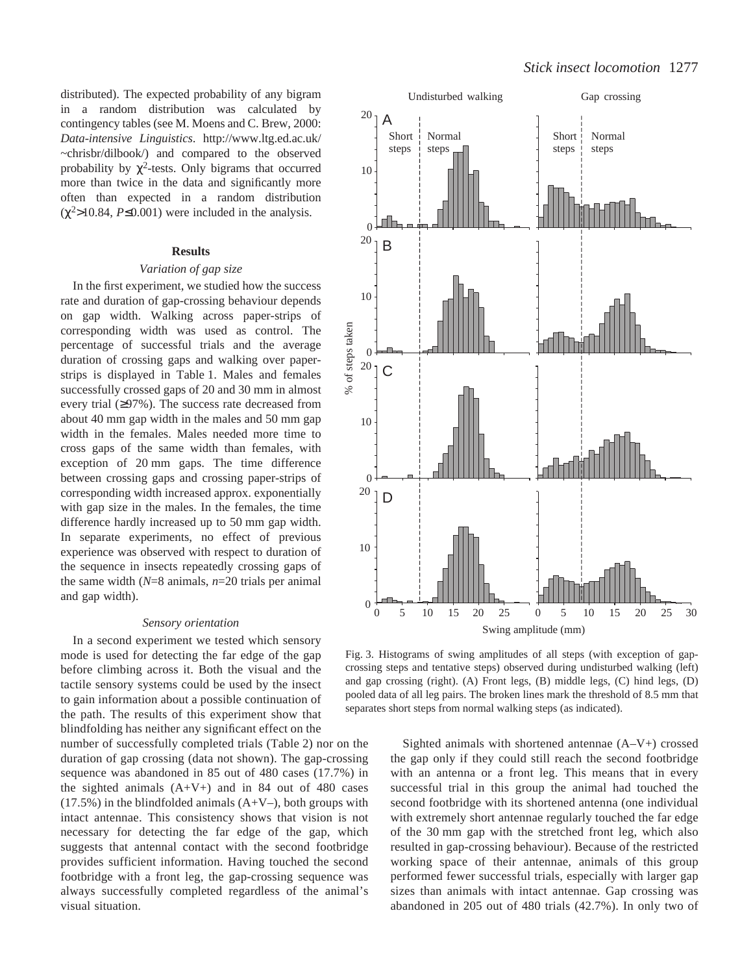distributed). The expected probability of any bigram in a random distribution was calculated by contingency tables (see M. Moens and C. Brew, 2000: *Data-intensive Linguistics*. http://www.ltg.ed.ac.uk/ ~chrisbr/dilbook/) and compared to the observed probability by  $\chi^2$ -tests. Only bigrams that occurred more than twice in the data and significantly more often than expected in a random distribution  $(\chi^2>10.84, P\leq 0.001)$  were included in the analysis.

### **Results**

### *Variation of gap size*

In the first experiment, we studied how the success rate and duration of gap-crossing behaviour depends on gap width. Walking across paper-strips of corresponding width was used as control. The percentage of successful trials and the average duration of crossing gaps and walking over paperstrips is displayed in Table 1. Males and females successfully crossed gaps of 20 and 30 mm in almost every trial (≥97%). The success rate decreased from about 40 mm gap width in the males and 50 mm gap width in the females. Males needed more time to cross gaps of the same width than females, with exception of 20 mm gaps. The time difference between crossing gaps and crossing paper-strips of corresponding width increased approx. exponentially with gap size in the males. In the females, the time difference hardly increased up to 50 mm gap width. In separate experiments, no effect of previous experience was observed with respect to duration of the sequence in insects repeatedly crossing gaps of the same width (*N*=8 animals, *n*=20 trials per animal and gap width).

#### *Sensory orientation*

In a second experiment we tested which sensory mode is used for detecting the far edge of the gap before climbing across it. Both the visual and the tactile sensory systems could be used by the insect to gain information about a possible continuation of the path. The results of this experiment show that blindfolding has neither any significant effect on the

number of successfully completed trials (Table 2) nor on the duration of gap crossing (data not shown). The gap-crossing sequence was abandoned in 85 out of 480 cases (17.7%) in the sighted animals  $(A+V+)$  and in 84 out of 480 cases  $(17.5\%)$  in the blindfolded animals  $(A+V-)$ , both groups with intact antennae. This consistency shows that vision is not necessary for detecting the far edge of the gap, which suggests that antennal contact with the second footbridge provides sufficient information. Having touched the second footbridge with a front leg, the gap-crossing sequence was always successfully completed regardless of the animal's visual situation.



Fig. 3. Histograms of swing amplitudes of all steps (with exception of gapcrossing steps and tentative steps) observed during undisturbed walking (left) and gap crossing (right). (A) Front legs, (B) middle legs, (C) hind legs, (D) pooled data of all leg pairs. The broken lines mark the threshold of 8.5 mm that separates short steps from normal walking steps (as indicated).

Sighted animals with shortened antennae (A–V+) crossed the gap only if they could still reach the second footbridge with an antenna or a front leg. This means that in every successful trial in this group the animal had touched the second footbridge with its shortened antenna (one individual with extremely short antennae regularly touched the far edge of the 30 mm gap with the stretched front leg, which also resulted in gap-crossing behaviour). Because of the restricted working space of their antennae, animals of this group performed fewer successful trials, especially with larger gap sizes than animals with intact antennae. Gap crossing was abandoned in 205 out of 480 trials (42.7%). In only two of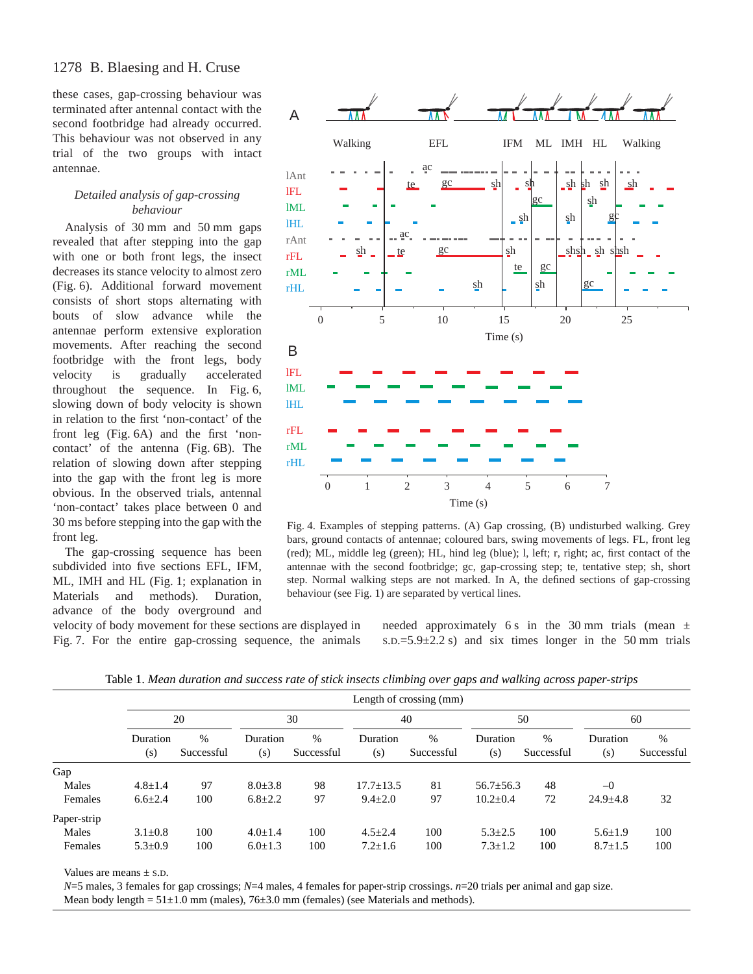these cases, gap-crossing behaviour was terminated after antennal contact with the second footbridge had already occurred. This behaviour was not observed in any trial of the two groups with intact antennae.

## *Detailed analysis of gap-crossing behaviour*

Analysis of  $30 \text{ mm}$  and  $50 \text{ mm}$  gaps revealed that after stepping into the gap with one or both front legs, the insect decreases its stance velocity to almost zero (Fig. 6). Additional forward movement consists of short stops alternating with bouts of slow advance while the antennae perform extensive exploration movements. After reaching the second footbridge with the front legs, body velocity is gradually accelerated throughout the sequence. In Fig.  $6$ , slowing down of body velocity is shown in relation to the first 'non-contact' of the front leg  $(Fig. 6A)$  and the first 'noncontact' of the antenna (Fig. 6B). The relation of slowing down after stepping into the gap with the front leg is more obvious. In the observed trials, antennal 'non-contact' takes place between 0 and 30 ms before stepping into the gap with the front leg.

The gap-crossing sequence has been subdivided into five sections EFL, IFM, ML, IMH and HL (Fig. 1; explanation in Materials and methods). Duration, advance of the body overground and

velocity of body movement for these sections are displayed in Fig. 7. For the entire gap-crossing sequence, the animals



Fig. 4. Examples of stepping patterns. (A) Gap crossing, (B) undisturbed walking. Grey bars, ground contacts of antennae; coloured bars, swing movements of legs. FL, front leg (red); ML, middle leg (green); HL, hind leg (blue); l, left; r, right; ac, first contact of the antennae with the second footbridge; gc, gap-crossing step; te, tentative step; sh, short step. Normal walking steps are not marked. In A, the defined sections of gap-crossing behaviour (see Fig. 1) are separated by vertical lines.

needed approximately 6 s in the 30 mm trials (mean  $\pm$  $s.D.=5.9\pm2.2$  s) and six times longer in the 50 mm trials

|             |                 | Length of crossing (mm) |                 |                    |                 |                    |                 |                    |                 |                    |  |
|-------------|-----------------|-------------------------|-----------------|--------------------|-----------------|--------------------|-----------------|--------------------|-----------------|--------------------|--|
|             | 20              |                         | 30              |                    | 40              |                    | 50              |                    | 60              |                    |  |
|             | Duration<br>(s) | $\%$<br>Successful      | Duration<br>(s) | $\%$<br>Successful | Duration<br>(s) | $\%$<br>Successful | Duration<br>(s) | $\%$<br>Successful | Duration<br>(s) | $\%$<br>Successful |  |
| Gap         |                 |                         |                 |                    |                 |                    |                 |                    |                 |                    |  |
| Males       | $4.8 \pm 1.4$   | 97                      | $8.0 \pm 3.8$   | 98                 | $17.7 \pm 13.5$ | 81                 | $56.7 \pm 56.3$ | 48                 | $-0$            |                    |  |
| Females     | $6.6 \pm 2.4$   | 100                     | $6.8 \pm 2.2$   | 97                 | $9.4 \pm 2.0$   | 97                 | $10.2 \pm 0.4$  | 72                 | $24.9 \pm 4.8$  | 32                 |  |
| Paper-strip |                 |                         |                 |                    |                 |                    |                 |                    |                 |                    |  |
| Males       | $3.1 \pm 0.8$   | 100                     | $4.0 \pm 1.4$   | 100                | $4.5 \pm 2.4$   | 100                | $5.3 \pm 2.5$   | 100                | $5.6 \pm 1.9$   | 100                |  |
| Females     | $5.3 \pm 0.9$   | 100                     | $6.0 \pm 1.3$   | 100                | $7.2 \pm 1.6$   | 100                | $7.3 \pm 1.2$   | 100                | $8.7 \pm 1.5$   | 100                |  |

Table 1. *Mean duration and success rate of stick insects climbing over gaps and walking across paper-strips* 

Values are means  $\pm$  s.D.

*N*=5 males, 3 females for gap crossings; *N*=4 males, 4 females for paper-strip crossings. *n*=20 trials per animal and gap size. Mean body length =  $51\pm1.0$  mm (males),  $76\pm3.0$  mm (females) (see Materials and methods).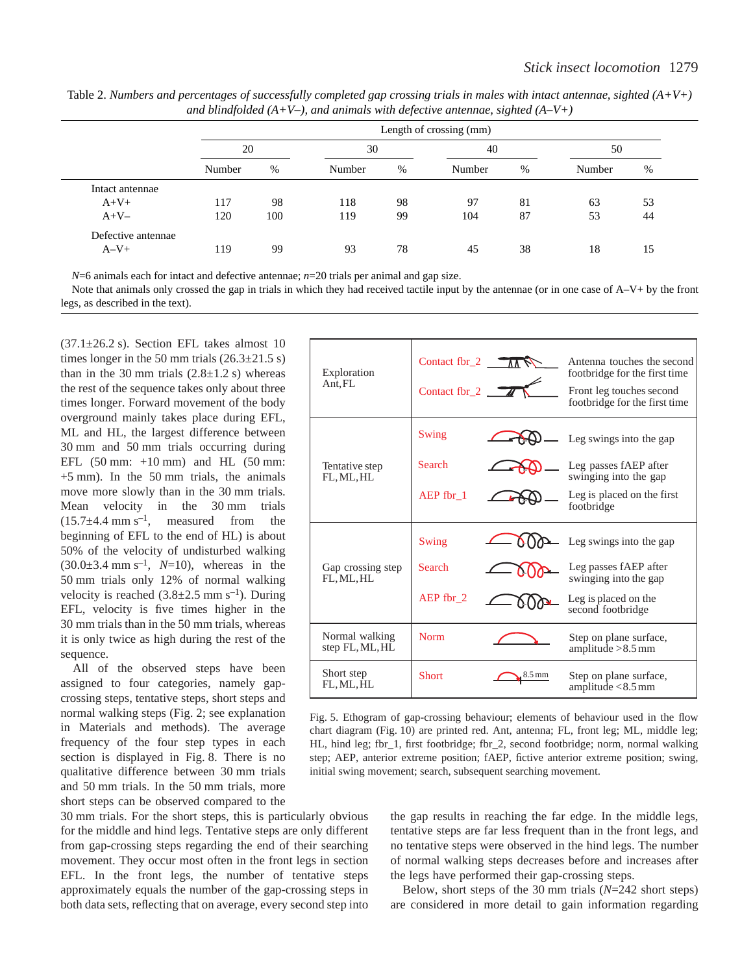|                    | Length of crossing (mm) |      |        |    |        |    |        |    |
|--------------------|-------------------------|------|--------|----|--------|----|--------|----|
|                    | 20                      |      | 30     |    | 40     |    | 50     |    |
|                    | Number                  | $\%$ | Number | %  | Number | %  | Number | %  |
| Intact antennae    |                         |      |        |    |        |    |        |    |
| $A+V+$             | 117                     | 98   | 118    | 98 | 97     | 81 | 63     | 53 |
| $A+V-$             | 120                     | 100  | 119    | 99 | 104    | 87 | 53     | 44 |
| Defective antennae |                         |      |        |    |        |    |        |    |
| $A-V+$             | 119                     | 99   | 93     | 78 | 45     | 38 | 18     | 15 |

Table 2. *Numbers and percentages of successfully completed gap crossing trials in males with intact antennae, sighted (A+V+) and blindfolded (A+V–), and animals with defective antennae, sighted (A–V+)* 

*N*=6 animals each for intact and defective antennae; *n*=20 trials per animal and gap size.

Note that animals only crossed the gap in trials in which they had received tactile input by the antennae (or in one case of A–V+ by the front legs, as described in the text).

 $(37.1\pm26.2 \text{ s})$ . Section EFL takes almost 10 times longer in the 50 mm trials  $(26.3\pm21.5\text{ s})$ than in the 30 mm trials  $(2.8\pm1.2 \text{ s})$  whereas the rest of the sequence takes only about three times longer. Forward movement of the body overground mainly takes place during EFL, ML and HL, the largest difference between 30 mm and 50 mm trials occurring during EFL  $(50$  mm:  $+10$  mm) and HL  $(50$  mm:  $+5$  mm). In the 50 mm trials, the animals move more slowly than in the 30 mm trials. Mean velocity in the 30 mm trials  $(15.7\pm4.4~\mathrm{mm~s}^{-1})$ , measured from the beginning of EFL to the end of HL) is about 50% of the velocity of undisturbed walking  $(30.0\pm3.4 \text{ mm s}^{-1}, N=10)$ , whereas in the 50 mm trials only 12% of normal walking velocity is reached  $(3.8\pm2.5~\text{mm s}^{-1})$ . During EFL, velocity is five times higher in the 30 mm trials than in the 50 mm trials, whereas it is only twice as high during the rest of the sequence.

All of the observed steps have been assigned to four categories, namely gapcrossing steps, tentative steps, short steps and normal walking steps (Fig. 2; see explanation in Materials and methods). The average frequency of the four step types in each section is displayed in Fig. 8. There is no qualitative difference between 30 mm trials and 50 mm trials. In the 50 mm trials, more short steps can be observed compared to the

30 mm trials. For the short steps, this is particularly obvious for the middle and hind legs. Tentative steps are only different from gap-crossing steps regarding the end of their searching movement. They occur most often in the front legs in section EFL. In the front legs, the number of tentative steps approximately equals the number of the gap-crossing steps in both data sets, reflecting that on average, every second step into

| Exploration<br>Ant, FL            | Contact fbr_2 $\sqrt{M}$<br>Contact fbr $2 \frac{1}{2}$ |                     | Antenna touches the second<br>footbridge for the first time<br>Front leg touches second<br>footbridge for the first time |
|-----------------------------------|---------------------------------------------------------|---------------------|--------------------------------------------------------------------------------------------------------------------------|
| Tentative step<br>FL, ML, HL      | Swing<br>Search<br>AEP fbr 1                            |                     | Leg swings into the gap<br>Leg passes fAEP after<br>swinging into the gap<br>Leg is placed on the first<br>footbridge    |
| Gap crossing step<br>FL, ML, HL   | Swing<br><b>Search</b><br>AEP fbr 2                     |                     | Leg swings into the gap<br>Leg passes fAEP after<br>swinging into the gap<br>Leg is placed on the<br>second footbridge   |
| Normal walking<br>step FL, ML, HL | <b>Norm</b>                                             |                     | Step on plane surface,<br>amplitude $>8.5$ mm                                                                            |
| Short step<br>FL, ML, HL          | <b>Short</b>                                            | $8.5 \,\mathrm{mm}$ | Step on plane surface,<br>amplitude $< 8.5$ mm                                                                           |

Fig. 5. Ethogram of gap-crossing behaviour; elements of behaviour used in the flow chart diagram (Fig. 10) are printed red. Ant, antenna; FL, front leg; ML, middle leg; HL, hind leg; fbr\_1, first footbridge; fbr\_2, second footbridge; norm, normal walking step; AEP, anterior extreme position; fAEP, fictive anterior extreme position; swing, initial swing movement; search, subsequent searching movement.

the gap results in reaching the far edge. In the middle legs, tentative steps are far less frequent than in the front legs, and no tentative steps were observed in the hind legs. The number of normal walking steps decreases before and increases after the legs have performed their gap-crossing steps.

Below, short steps of the 30 mm trials ( $N=242$  short steps) are considered in more detail to gain information regarding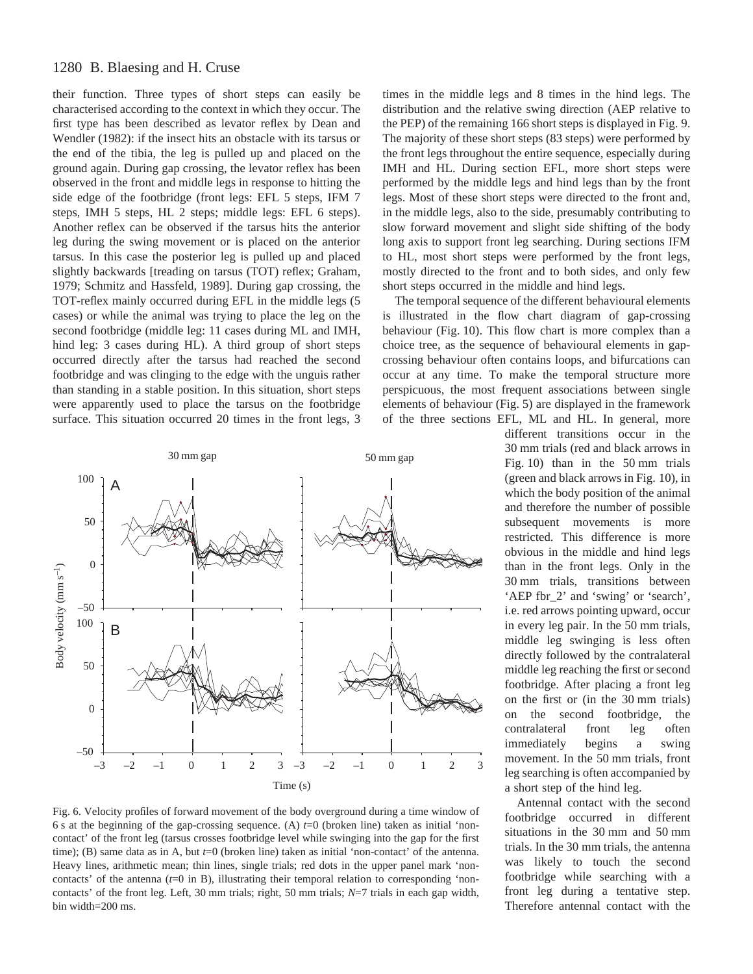their function. Three types of short steps can easily be characterised according to the context in which they occur. The first type has been described as levator reflex by Dean and Wendler (1982): if the insect hits an obstacle with its tarsus or the end of the tibia, the leg is pulled up and placed on the ground again. During gap crossing, the levator reflex has been observed in the front and middle legs in response to hitting the side edge of the footbridge (front legs: EFL 5 steps, IFM 7 steps, IMH 5 steps, HL 2 steps; middle legs: EFL 6 steps). Another reflex can be observed if the tarsus hits the anterior leg during the swing movement or is placed on the anterior tarsus. In this case the posterior leg is pulled up and placed slightly backwards [treading on tarsus (TOT) reflex; Graham, 1979; Schmitz and Hassfeld, 1989]. During gap crossing, the TOT-reflex mainly occurred during EFL in the middle legs (5 cases) or while the animal was trying to place the leg on the second footbridge (middle leg: 11 cases during ML and IMH, hind leg: 3 cases during HL). A third group of short steps occurred directly after the tarsus had reached the second footbridge and was clinging to the edge with the unguis rather than standing in a stable position. In this situation, short steps were apparently used to place the tarsus on the footbridge surface. This situation occurred 20 times in the front legs, 3



Fig. 6. Velocity profiles of forward movement of the body overground during a time window of 6 s at the beginning of the gap-crossing sequence. (A)  $t=0$  (broken line) taken as initial 'noncontact' of the front leg (tarsus crosses footbridge level while swinging into the gap for the first time); (B) same data as in A, but *t*=0 (broken line) taken as initial 'non-contact' of the antenna. Heavy lines, arithmetic mean; thin lines, single trials; red dots in the upper panel mark 'noncontacts' of the antenna  $(t=0$  in B), illustrating their temporal relation to corresponding 'noncontacts' of the front leg. Left, 30 mm trials; right, 50 mm trials; *N*=7 trials in each gap width, bin width=200 ms.

times in the middle legs and 8 times in the hind legs. The distribution and the relative swing direction (AEP relative to the PEP) of the remaining 166 short steps is displayed in Fig. 9. The majority of these short steps (83 steps) were performed by the front legs throughout the entire sequence, especially during IMH and HL. During section EFL, more short steps were performed by the middle legs and hind legs than by the front legs. Most of these short steps were directed to the front and, in the middle legs, also to the side, presumably contributing to slow forward movement and slight side shifting of the body long axis to support front leg searching. During sections IFM to HL, most short steps were performed by the front legs, mostly directed to the front and to both sides, and only few short steps occurred in the middle and hind legs.

The temporal sequence of the different behavioural elements is illustrated in the flow chart diagram of gap-crossing behaviour (Fig. 10). This flow chart is more complex than a choice tree, as the sequence of behavioural elements in gapcrossing behaviour often contains loops, and bifurcations can occur at any time. To make the temporal structure more perspicuous, the most frequent associations between single elements of behaviour (Fig. 5) are displayed in the framework of the three sections EFL, ML and HL. In general, more

> different transitions occur in the 30 mm trials (red and black arrows in Fig.  $10$ ) than in the  $50$  mm trials (green and black arrows in Fig. 10), in which the body position of the animal and therefore the number of possible subsequent movements is more restricted. This difference is more obvious in the middle and hind legs than in the front legs. Only in the 30 mm trials, transitions between 'AEP fbr\_2' and 'swing' or 'search', i.e. red arrows pointing upward, occur in every leg pair. In the 50 mm trials, middle leg swinging is less often directly followed by the contralateral middle leg reaching the first or second footbridge. After placing a front leg on the first or (in the 30 mm trials) on the second footbridge, the contralateral front leg often immediately begins a swing movement. In the 50 mm trials, front leg searching is often accompanied by a short step of the hind leg.

> Antennal contact with the second footbridge occurred in different situations in the 30 mm and 50 mm trials. In the 30 mm trials, the antenna was likely to touch the second footbridge while searching with a front leg during a tentative step. Therefore antennal contact with the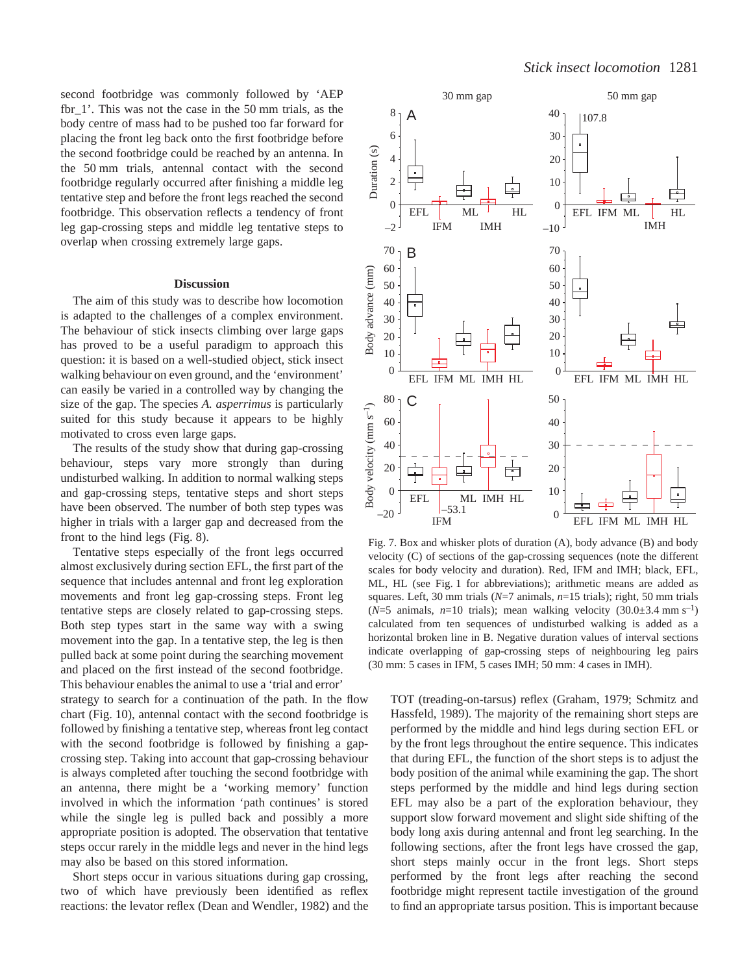second footbridge was commonly followed by 'AEP fbr $_1$ . This was not the case in the 50 mm trials, as the body centre of mass had to be pushed too far forward for placing the front leg back onto the first footbridge before the second footbridge could be reached by an antenna. In the 50 mm trials, antennal contact with the second footbridge regularly occurred after finishing a middle leg tentative step and before the front legs reached the second footbridge. This observation reflects a tendency of front leg gap-crossing steps and middle leg tentative steps to overlap when crossing extremely large gaps.

#### **Discussion**

The aim of this study was to describe how locomotion is adapted to the challenges of a complex environment. The behaviour of stick insects climbing over large gaps has proved to be a useful paradigm to approach this question: it is based on a well-studied object, stick insect walking behaviour on even ground, and the 'environment' can easily be varied in a controlled way by changing the size of the gap. The species *A. asperrimus* is particularly suited for this study because it appears to be highly motivated to cross even large gaps.

The results of the study show that during gap-crossing behaviour, steps vary more strongly than during undisturbed walking. In addition to normal walking steps and gap-crossing steps, tentative steps and short steps have been observed. The number of both step types was higher in trials with a larger gap and decreased from the front to the hind legs  $(Fig. 8)$ .

Tentative steps especially of the front legs occurred almost exclusively during section EFL, the first part of the sequence that includes antennal and front leg exploration movements and front leg gap-crossing steps. Front leg tentative steps are closely related to gap-crossing steps. Both step types start in the same way with a swing movement into the gap. In a tentative step, the leg is then pulled back at some point during the searching movement and placed on the first instead of the second footbridge. This behaviour enables the animal to use a 'trial and error'

strategy to search for a continuation of the path. In the flow chart (Fig. 10), antennal contact with the second footbridge is followed by finishing a tentative step, whereas front leg contact with the second footbridge is followed by finishing a gapcrossing step. Taking into account that gap-crossing behaviour is always completed after touching the second footbridge with an antenna, there might be a 'working memory' function involved in which the information 'path continues' is stored while the single leg is pulled back and possibly a more appropriate position is adopted. The observation that tentative steps occur rarely in the middle legs and never in the hind legs may also be based on this stored information.

Short steps occur in various situations during gap crossing, two of which have previously been identified as reflex reactions: the levator reflex (Dean and Wendler, 1982) and the



Fig. 7. Box and whisker plots of duration  $(A)$ , body advance  $(B)$  and body velocity (C) of sections of the gap-crossing sequences (note the different scales for body velocity and duration). Red, IFM and IMH; black, EFL, ML, HL (see Fig. 1 for abbreviations); arithmetic means are added as squares. Left, 30 mm trials  $(N=7 \text{ animals}, n=15 \text{ trials})$ ; right, 50 mm trials ( $N=5$  animals,  $n=10$  trials); mean walking velocity (30.0 $\pm$ 3.4 mm s<sup>-1</sup>) calculated from ten sequences of undisturbed walking is added as a horizontal broken line in B. Negative duration values of interval sections indicate overlapping of gap-crossing steps of neighbouring leg pairs  $(30~mm: 5 ~cases~ in IFM, 5 ~cases~ IMH; 50~mm: 4 ~cases~ in~ IMH).$ 

TOT (treading-on-tarsus) reflex (Graham, 1979; Schmitz and Hassfeld, 1989). The majority of the remaining short steps are performed by the middle and hind legs during section EFL or by the front legs throughout the entire sequence. This indicates that during EFL, the function of the short steps is to adjust the body position of the animal while examining the gap. The short steps performed by the middle and hind legs during section EFL may also be a part of the exploration behaviour, they support slow forward movement and slight side shifting of the body long axis during antennal and front leg searching. In the following sections, after the front legs have crossed the gap, short steps mainly occur in the front legs. Short steps performed by the front legs after reaching the second footbridge might represent tactile investigation of the ground to find an appropriate tarsus position. This is important because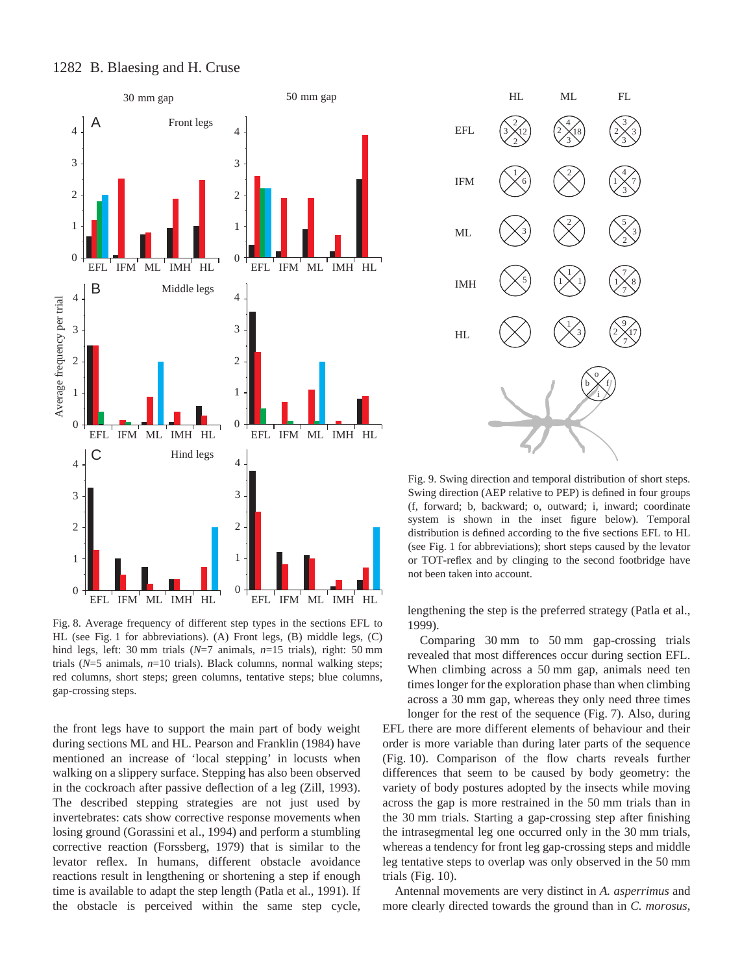



Fig. 8. Average frequency of different step types in the sections EFL to HL (see Fig. 1 for abbreviations). (A) Front legs, (B) middle legs, (C) hind legs, left: 30 mm trials ( $N=7$  animals,  $n=15$  trials), right: 50 mm trials (*N*=5 animals, *n*=10 trials). Black columns, normal walking steps; red columns, short steps; green columns, tentative steps; blue columns, gap-crossing steps.

the front legs have to support the main part of body weight during sections ML and HL. Pearson and Franklin (1984) have mentioned an increase of 'local stepping' in locusts when walking on a slippery surface. Stepping has also been observed in the cockroach after passive deflection of a leg (Zill, 1993). The described stepping strategies are not just used by invertebrates: cats show corrective response movements when losing ground (Gorassini et al., 1994) and perform a stumbling corrective reaction (Forssberg, 1979) that is similar to the levator reflex. In humans, different obstacle avoidance reactions result in lengthening or shortening a step if enough time is available to adapt the step length (Patla et al., 1991). If the obstacle is perceived within the same step cycle,



Fig. 9. Swing direction and temporal distribution of short steps. Swing direction (AEP relative to PEP) is defined in four groups (f, forward; b, backward; o, outward; i, inward; coordinate system is shown in the inset figure below). Temporal distribution is defined according to the five sections EFL to HL (see Fig. 1 for abbreviations); short steps caused by the levator or TOT-reflex and by clinging to the second footbridge have not been taken into account.

lengthening the step is the preferred strategy (Patla et al., 1999).

Comparing 30 mm to 50 mm gap-crossing trials revealed that most differences occur during section EFL. When climbing across a 50 mm gap, animals need ten times longer for the exploration phase than when climbing across a 30 mm gap, whereas they only need three times

longer for the rest of the sequence (Fig. 7). Also, during EFL there are more different elements of behaviour and their order is more variable than during later parts of the sequence (Fig. 10). Comparison of the flow charts reveals further differences that seem to be caused by body geometry: the variety of body postures adopted by the insects while moving across the gap is more restrained in the 50 mm trials than in the 30 mm trials. Starting a gap-crossing step after finishing the intrasegmental leg one occurred only in the 30 mm trials, whereas a tendency for front leg gap-crossing steps and middle leg tentative steps to overlap was only observed in the 50 mm trials (Fig.  $10$ ).

Antennal movements are very distinct in *A. asperrimus* and more clearly directed towards the ground than in *C. morosus*,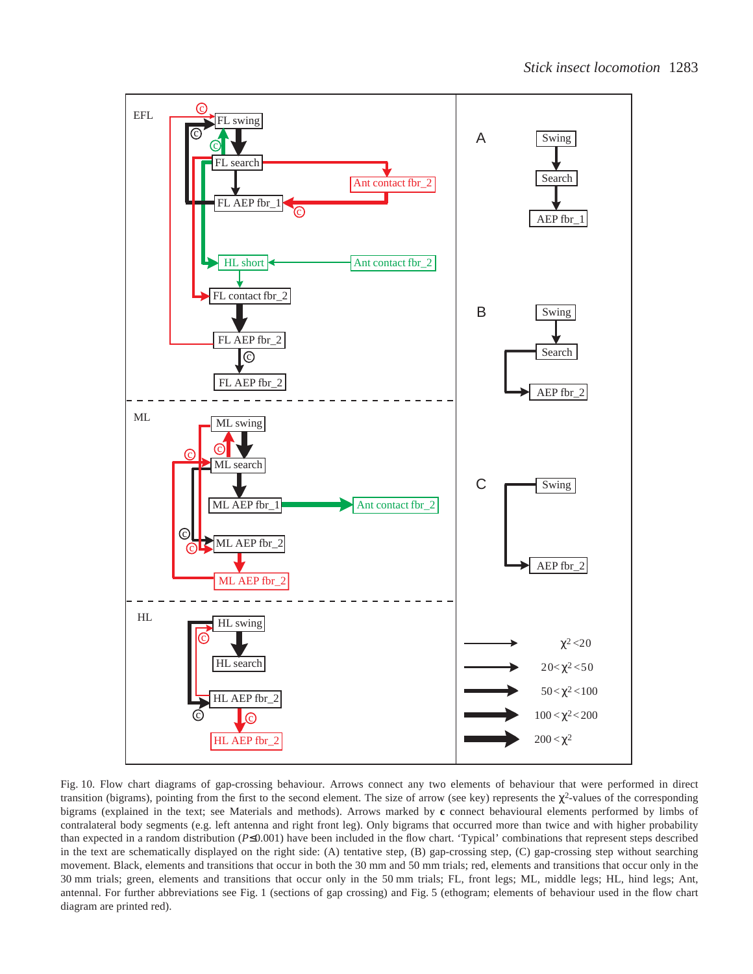

Fig. 10. Flow chart diagrams of gap-crossing behaviour. Arrows connect any two elements of behaviour that were performed in direct transition (bigrams), pointing from the first to the second element. The size of arrow (see key) represents the  $χ²$ -values of the corresponding bigrams (explained in the text; see Materials and methods). Arrows marked by **c** connect behavioural elements performed by limbs of contralateral body segments (e.g. left antenna and right front leg). Only bigrams that occurred more than twice and with higher probability than expected in a random distribution (*P*≤0.001) have been included in the flow chart. 'Typical' combinations that represent steps described in the text are schematically displayed on the right side: (A) tentative step, (B) gap-crossing step, (C) gap-crossing step without searching movement. Black, elements and transitions that occur in both the 30 mm and 50 mm trials; red, elements and transitions that occur only in the 30 mm trials; green, elements and transitions that occur only in the 50 mm trials; FL, front legs; ML, middle legs; HL, hind legs; Ant, antennal. For further abbreviations see Fig. 1 (sections of gap crossing) and Fig. 5 (ethogram; elements of behaviour used in the flow chart diagram are printed red).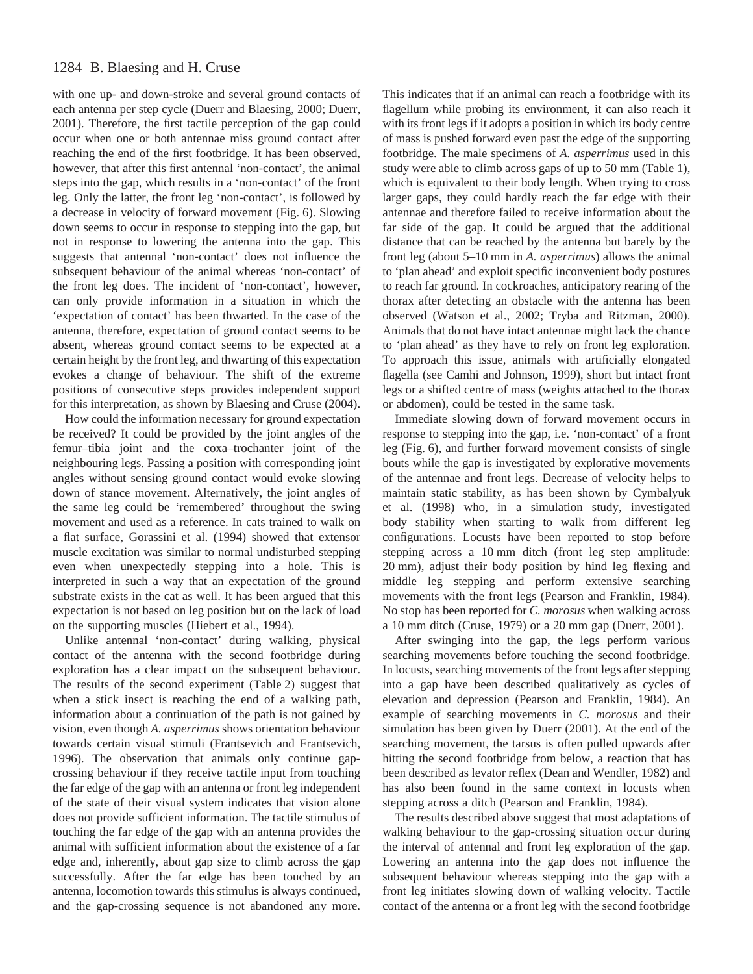with one up- and down-stroke and several ground contacts of each antenna per step cycle (Duerr and Blaesing, 2000; Duerr, 2001). Therefore, the first tactile perception of the gap could occur when one or both antennae miss ground contact after reaching the end of the first footbridge. It has been observed, however, that after this first antennal 'non-contact', the animal steps into the gap, which results in a 'non-contact' of the front leg. Only the latter, the front leg 'non-contact', is followed by a decrease in velocity of forward movement (Fig. 6). Slowing down seems to occur in response to stepping into the gap, but not in response to lowering the antenna into the gap. This suggests that antennal 'non-contact' does not influence the subsequent behaviour of the animal whereas 'non-contact' of the front leg does. The incident of 'non-contact', however, can only provide information in a situation in which the 'expectation of contact' has been thwarted. In the case of the antenna, therefore, expectation of ground contact seems to be absent, whereas ground contact seems to be expected at a certain height by the front leg, and thwarting of this expectation evokes a change of behaviour. The shift of the extreme positions of consecutive steps provides independent support for this interpretation, as shown by Blaesing and Cruse (2004).

How could the information necessary for ground expectation be received? It could be provided by the joint angles of the femur–tibia joint and the coxa–trochanter joint of the neighbouring legs. Passing a position with corresponding joint angles without sensing ground contact would evoke slowing down of stance movement. Alternatively, the joint angles of the same leg could be 'remembered' throughout the swing movement and used as a reference. In cats trained to walk on a flat surface, Gorassini et al. (1994) showed that extensor muscle excitation was similar to normal undisturbed stepping even when unexpectedly stepping into a hole. This is interpreted in such a way that an expectation of the ground substrate exists in the cat as well. It has been argued that this expectation is not based on leg position but on the lack of load on the supporting muscles (Hiebert et al., 1994).

Unlike antennal 'non-contact' during walking, physical contact of the antenna with the second footbridge during exploration has a clear impact on the subsequent behaviour. The results of the second experiment (Table 2) suggest that when a stick insect is reaching the end of a walking path, information about a continuation of the path is not gained by vision, even though *A. asperrimus* shows orientation behaviour towards certain visual stimuli (Frantsevich and Frantsevich, 1996). The observation that animals only continue gapcrossing behaviour if they receive tactile input from touching the far edge of the gap with an antenna or front leg independent of the state of their visual system indicates that vision alone does not provide sufficient information. The tactile stimulus of touching the far edge of the gap with an antenna provides the animal with sufficient information about the existence of a far edge and, inherently, about gap size to climb across the gap successfully. After the far edge has been touched by an antenna, locomotion towards this stimulus is always continued, and the gap-crossing sequence is not abandoned any more. This indicates that if an animal can reach a footbridge with its flagellum while probing its environment, it can also reach it with its front legs if it adopts a position in which its body centre of mass is pushed forward even past the edge of the supporting footbridge. The male specimens of *A. asperrimus* used in this study were able to climb across gaps of up to 50 mm (Table 1), which is equivalent to their body length. When trying to cross larger gaps, they could hardly reach the far edge with their antennae and therefore failed to receive information about the far side of the gap. It could be argued that the additional distance that can be reached by the antenna but barely by the front leg (about 5–10 mm in *A. asperrimus*) allows the animal to 'plan ahead' and exploit specific inconvenient body postures to reach far ground. In cockroaches, anticipatory rearing of the thorax after detecting an obstacle with the antenna has been observed (Watson et al., 2002; Tryba and Ritzman, 2000). Animals that do not have intact antennae might lack the chance to 'plan ahead' as they have to rely on front leg exploration. To approach this issue, animals with artificially elongated flagella (see Camhi and Johnson, 1999), short but intact front legs or a shifted centre of mass (weights attached to the thorax or abdomen), could be tested in the same task.

Immediate slowing down of forward movement occurs in response to stepping into the gap, i.e. 'non-contact' of a front leg (Fig. 6), and further forward movement consists of single bouts while the gap is investigated by explorative movements of the antennae and front legs. Decrease of velocity helps to maintain static stability, as has been shown by Cymbalyuk et al. (1998) who, in a simulation study, investigated body stability when starting to walk from different leg configurations. Locusts have been reported to stop before stepping across a 10 mm ditch (front leg step amplitude: 20 mm), adjust their body position by hind leg flexing and middle leg stepping and perform extensive searching movements with the front legs (Pearson and Franklin, 1984). No stop has been reported for *C. morosus* when walking across a 10 mm ditch (Cruse, 1979) or a 20 mm gap (Duerr, 2001).

After swinging into the gap, the legs perform various searching movements before touching the second footbridge. In locusts, searching movements of the front legs after stepping into a gap have been described qualitatively as cycles of elevation and depression (Pearson and Franklin, 1984). An example of searching movements in *C. morosus* and their simulation has been given by Duerr (2001). At the end of the searching movement, the tarsus is often pulled upwards after hitting the second footbridge from below, a reaction that has been described as levator reflex (Dean and Wendler, 1982) and has also been found in the same context in locusts when stepping across a ditch (Pearson and Franklin, 1984).

The results described above suggest that most adaptations of walking behaviour to the gap-crossing situation occur during the interval of antennal and front leg exploration of the gap. Lowering an antenna into the gap does not influence the subsequent behaviour whereas stepping into the gap with a front leg initiates slowing down of walking velocity. Tactile contact of the antenna or a front leg with the second footbridge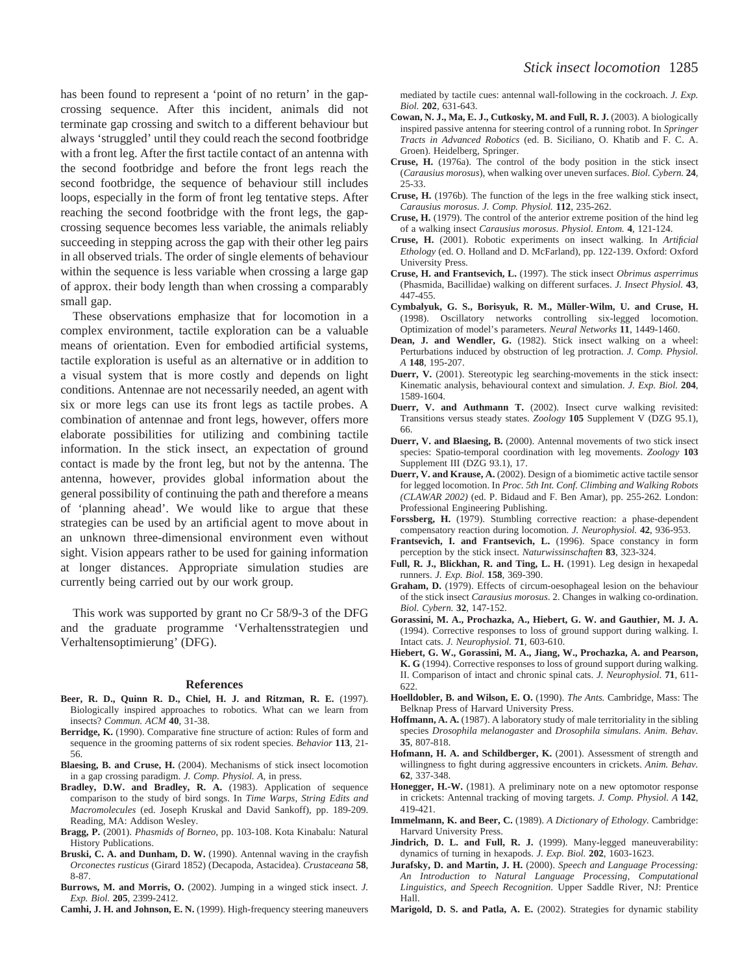has been found to represent a 'point of no return' in the gapcrossing sequence. After this incident, animals did not terminate gap crossing and switch to a different behaviour but always 'struggled' until they could reach the second footbridge with a front leg. After the first tactile contact of an antenna with the second footbridge and before the front legs reach the second footbridge, the sequence of behaviour still includes loops, especially in the form of front leg tentative steps. After reaching the second footbridge with the front legs, the gapcrossing sequence becomes less variable, the animals reliably succeeding in stepping across the gap with their other leg pairs in all observed trials. The order of single elements of behaviour within the sequence is less variable when crossing a large gap of approx. their body length than when crossing a comparably small gap.

These observations emphasize that for locomotion in a complex environment, tactile exploration can be a valuable means of orientation. Even for embodied artificial systems, tactile exploration is useful as an alternative or in addition to a visual system that is more costly and depends on light conditions. Antennae are not necessarily needed, an agent with six or more legs can use its front legs as tactile probes. A combination of antennae and front legs, however, offers more elaborate possibilities for utilizing and combining tactile information. In the stick insect, an expectation of ground contact is made by the front leg, but not by the antenna. The antenna, however, provides global information about the general possibility of continuing the path and therefore a means of 'planning ahead'. We would like to argue that these strategies can be used by an artificial agent to move about in an unknown three-dimensional environment even without sight. Vision appears rather to be used for gaining information at longer distances. Appropriate simulation studies are currently being carried out by our work group.

This work was supported by grant no Cr 58/9-3 of the DFG and the graduate programme 'Verhaltensstrategien und Verhaltensoptimierung' (DFG).

#### **References**

- **Beer, R. D., Quinn R. D., Chiel, H. J. and Ritzman, R. E.** (1997). Biologically inspired approaches to robotics. What can we learn from insects? *Commun. ACM* **40**, 31-38.
- **Berridge, K.** (1990). Comparative fine structure of action: Rules of form and sequence in the grooming patterns of six rodent species. *Behavior* **113**, 21- 56.
- **Blaesing, B. and Cruse, H.** (2004). Mechanisms of stick insect locomotion in a gap crossing paradigm. *J. Comp. Physiol. A*, in press.
- Bradley, D.W. and Bradley, R. A. (1983). Application of sequence comparison to the study of bird songs. In *Time Warps, String Edits and Macromolecules* (ed. Joseph Kruskal and David Sankoff), pp. 189-209. Reading, MA: Addison Wesley.
- **Bragg, P.** (2001). *Phasmids of Borneo*, pp. 103-108. Kota Kinabalu: Natural History Publications.
- **Bruski, C. A. and Dunham, D. W.** (1990). Antennal waving in the crayfish *Orconectes rusticus* (Girard 1852) (Decapoda, Astacidea). *Crustaceana* **58**, 8-87.

**Burrows, M. and Morris, O.** (2002). Jumping in a winged stick insect. *J. Exp. Biol.* **205**, 2399-2412.

**Camhi, J. H. and Johnson, E. N.** (1999). High-frequency steering maneuvers

mediated by tactile cues: antennal wall-following in the cockroach. *J. Exp. Biol.* **202**, 631-643.

- **Cowan, N. J., Ma, E. J., Cutkosky, M. and Full, R. J.** (2003). A biologically inspired passive antenna for steering control of a running robot. In *Springer Tracts in Advanced Robotics* (ed. B. Siciliano, O. Khatib and F. C. A. Groen). Heidelberg, Springer.
- **Cruse, H.** (1976a). The control of the body position in the stick insect (*Carausius morosus*), when walking over uneven surfaces. *Biol. Cybern.* **24**, 25-33.
- **Cruse, H.** (1976b). The function of the legs in the free walking stick insect, *Carausius morosus*. *J. Comp. Physiol.* **112**, 235-262.
- **Cruse, H.** (1979). The control of the anterior extreme position of the hind leg of a walking insect *Carausius morosus*. *Physiol. Entom.* **4**, 121-124.
- **Cruse, H.** (2001). Robotic experiments on insect walking. In *Artificial Ethology* (ed. O. Holland and D. McFarland), pp. 122-139. Oxford: Oxford University Press.
- **Cruse, H. and Frantsevich, L.** (1997). The stick insect *Obrimus asperrimus* (Phasmida, Bacillidae) walking on different surfaces. *J. Insect Physiol.* **43**, 447-455.
- **Cymbalyuk, G. S., Borisyuk, R. M., Müller-Wilm, U. and Cruse, H.** (1998). Oscillatory networks controlling six-legged locomotion. Optimization of model's parameters. *Neural Networks* **11**, 1449-1460.
- **Dean, J. and Wendler, G.** (1982). Stick insect walking on a wheel: Perturbations induced by obstruction of leg protraction. *J. Comp. Physiol. A* **148**, 195-207.
- **Duerr, V.** (2001). Stereotypic leg searching-movements in the stick insect: Kinematic analysis, behavioural context and simulation. *J. Exp. Biol.* **204**, 1589-1604.
- **Duerr, V. and Authmann T.** (2002). Insect curve walking revisited: Transitions versus steady states. *Zoology* **105** Supplement V (DZG 95.1), 66.
- **Duerr, V. and Blaesing, B.** (2000). Antennal movements of two stick insect species: Spatio-temporal coordination with leg movements. *Zoology* **103** Supplement III (DZG 93.1), 17.
- **Duerr, V. and Krause, A.** (2002). Design of a biomimetic active tactile sensor for legged locomotion. In *Proc. 5th Int. Conf. Climbing and Walking Robots (CLAWAR 2002)* (ed. P. Bidaud and F. Ben Amar), pp. 255-262*.* London: Professional Engineering Publishing.
- **Forssberg, H.** (1979). Stumbling corrective reaction: a phase-dependent compensatory reaction during locomotion. *J. Neurophysiol.* **42**, 936-953.
- **Frantsevich, I. and Frantsevich, L.** (1996). Space constancy in form perception by the stick insect. *Naturwissinschaften* **83**, 323-324.
- **Full, R. J., Blickhan, R. and Ting, L. H.** (1991). Leg design in hexapedal runners. *J. Exp. Biol.* **158**, 369-390.
- **Graham, D.** (1979). Effects of circum-oesophageal lesion on the behaviour of the stick insect *Carausius morosus*. 2. Changes in walking co-ordination. *Biol. Cybern.* **32**, 147-152.
- **Gorassini, M. A., Prochazka, A., Hiebert, G. W. and Gauthier, M. J. A.** (1994). Corrective responses to loss of ground support during walking. I. Intact cats. *J. Neurophysiol.* **71**, 603-610.
- **Hiebert, G. W., Gorassini, M. A., Jiang, W., Prochazka, A. and Pearson, K. G** (1994). Corrective responses to loss of ground support during walking. II. Comparison of intact and chronic spinal cats. *J. Neurophysiol.* **71**, 611- 622.
- **Hoelldobler, B. and Wilson, E. O.** (1990). *The Ants.* Cambridge, Mass: The Belknap Press of Harvard University Press.
- **Hoffmann, A. A.** (1987). A laboratory study of male territoriality in the sibling species *Drosophila melanogaster* and *Drosophila simulans*. *Anim. Behav.* **35**, 807-818.
- **Hofmann, H. A. and Schildberger, K.** (2001). Assessment of strength and willingness to fight during aggressive encounters in crickets. *Anim. Behav.* **62**, 337-348.
- **Honegger, H.-W.** (1981). A preliminary note on a new optomotor response in crickets: Antennal tracking of moving targets. *J. Comp. Physiol. A* **142**, 419-421.
- **Immelmann, K. and Beer, C.** (1989). *A Dictionary of Ethology.* Cambridge: Harvard University Press.
- Jindrich, D. L. and Full, R. J. (1999). Many-legged maneuverability: dynamics of turning in hexapods. *J. Exp. Biol.* **202**, 1603-1623.
- **Jurafsky, D. and Martin, J. H.** (2000). *Speech and Language Processing: An Introduction to Natural Language Processing, Computational Linguistics, and Speech Recognition.* Upper Saddle River, NJ: Prentice Hall.
- **Marigold, D. S. and Patla, A. E.** (2002). Strategies for dynamic stability